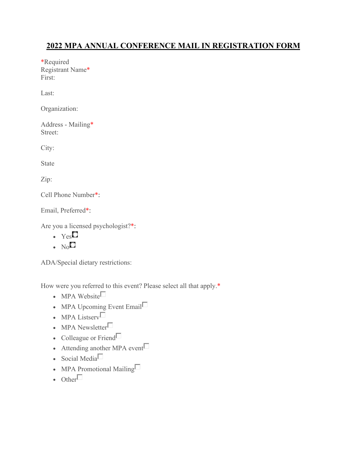# **2022 MPA ANNUAL CONFERENCE MAIL IN REGISTRATION FORM**

\*Required Registrant Name\* First:

Last:

Organization:

Address - Mailing\* Street:

City:

State

Zip:

Cell Phone Number\*:

Email, Preferred\*:

Are you a licensed psychologist?\*:

- $YesC$
- $N_0$

ADA/Special dietary restrictions:

How were you referred to this event? Please select all that apply.\*

- $\bullet$  MPA Website
- MPA Upcoming Event Email $\Box$
- $\bullet$  MPA Listserv $\Box$
- $\bullet$  MPA Newsletter $\Box$
- Colleague or Friend $\square$
- Attending another MPA event  $\Box$
- $\bullet$  Social Media $\Box$
- MPA Promotional Mailing $\Box$

```
\bullet Other\Box
```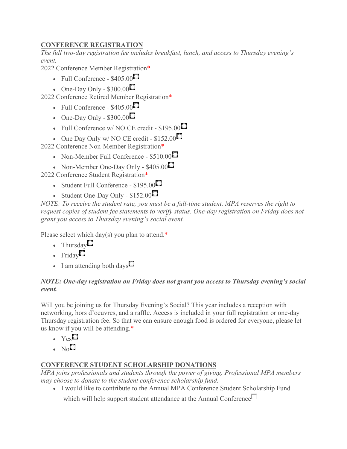## **CONFERENCE REGISTRATION**

*The full two-day registration fee includes breakfast, lunch, and access to Thursday evening's event.*

2022 Conference Member Registration\*

- Full Conference  $$405.00$
- One-Day Only  $$300.00$

2022 Conference Retired Member Registration\*

- Full Conference  $$405.00$
- One-Day Only  $$300.00$
- Full Conference w/ NO CE credit  $$195.00$
- One Day Only w/ NO CE credit  $$152.00$

2022 Conference Non-Member Registration\*

- Non-Member Full Conference  $$510.00$
- Non-Member One-Day Only  $$405.00$

2022 Conference Student Registration\*

- Student Full Conference  $$195.00$
- Student One-Day Only  $$152.00$

*NOTE: To receive the student rate, you must be a full-time student. MPA reserves the right to request copies of student fee statements to verify status. One-day registration on Friday does not grant you access to Thursday evening's social event.*

Please select which day(s) you plan to attend.\*

- Thursday
- $\cdot$  Friday
- $\bullet$  I am attending both days  $\Box$

#### *NOTE: One-day registration on Friday does not grant you access to Thursday evening's social event.*

Will you be joining us for Thursday Evening's Social? This year includes a reception with networking, hors d'oeuvres, and a raffle. Access is included in your full registration or one-day Thursday registration fee. So that we can ensure enough food is ordered for everyone, please let us know if you will be attending.\*

- $\cdot$  Yes<sup> $\circ$ </sup>
- $N_0$

### **CONFERENCE STUDENT SCHOLARSHIP DONATIONS**

*MPA joins professionals and students through the power of giving. Professional MPA members may choose to donate to the student conference scholarship fund.*

I would like to contribute to the Annual MPA Conference Student Scholarship Fund

which will help support student attendance at the Annual Conference